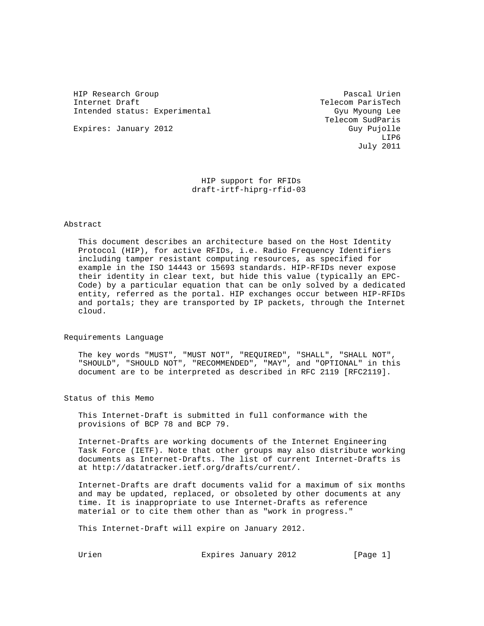HIP Research Group Pascal Urien Pascal Urien Internet Draft Telecom ParisTech Intended status: Experimental Gyu Myoung Lee

Expires: January 2012 **Guy Pujolle** 

 Telecom SudParis LIP6 July 2011

> HIP support for RFIDs draft-irtf-hiprg-rfid-03

### Abstract

 This document describes an architecture based on the Host Identity Protocol (HIP), for active RFIDs, i.e. Radio Frequency Identifiers including tamper resistant computing resources, as specified for example in the ISO 14443 or 15693 standards. HIP-RFIDs never expose their identity in clear text, but hide this value (typically an EPC- Code) by a particular equation that can be only solved by a dedicated entity, referred as the portal. HIP exchanges occur between HIP-RFIDs and portals; they are transported by IP packets, through the Internet cloud.

#### Requirements Language

 The key words "MUST", "MUST NOT", "REQUIRED", "SHALL", "SHALL NOT", "SHOULD", "SHOULD NOT", "RECOMMENDED", "MAY", and "OPTIONAL" in this document are to be interpreted as described in RFC 2119 [RFC2119].

Status of this Memo

 This Internet-Draft is submitted in full conformance with the provisions of BCP 78 and BCP 79.

 Internet-Drafts are working documents of the Internet Engineering Task Force (IETF). Note that other groups may also distribute working documents as Internet-Drafts. The list of current Internet-Drafts is at http://datatracker.ietf.org/drafts/current/.

 Internet-Drafts are draft documents valid for a maximum of six months and may be updated, replaced, or obsoleted by other documents at any time. It is inappropriate to use Internet-Drafts as reference material or to cite them other than as "work in progress."

This Internet-Draft will expire on January 2012.

Urien **Expires January 2012** [Page 1]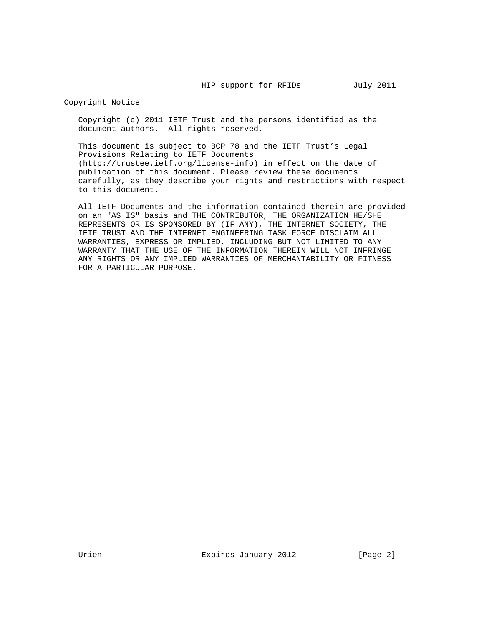Copyright Notice

 Copyright (c) 2011 IETF Trust and the persons identified as the document authors. All rights reserved.

 This document is subject to BCP 78 and the IETF Trust's Legal Provisions Relating to IETF Documents (http://trustee.ietf.org/license-info) in effect on the date of publication of this document. Please review these documents carefully, as they describe your rights and restrictions with respect to this document.

 All IETF Documents and the information contained therein are provided on an "AS IS" basis and THE CONTRIBUTOR, THE ORGANIZATION HE/SHE REPRESENTS OR IS SPONSORED BY (IF ANY), THE INTERNET SOCIETY, THE IETF TRUST AND THE INTERNET ENGINEERING TASK FORCE DISCLAIM ALL WARRANTIES, EXPRESS OR IMPLIED, INCLUDING BUT NOT LIMITED TO ANY WARRANTY THAT THE USE OF THE INFORMATION THEREIN WILL NOT INFRINGE ANY RIGHTS OR ANY IMPLIED WARRANTIES OF MERCHANTABILITY OR FITNESS FOR A PARTICULAR PURPOSE.

Urien **Expires January 2012** [Page 2]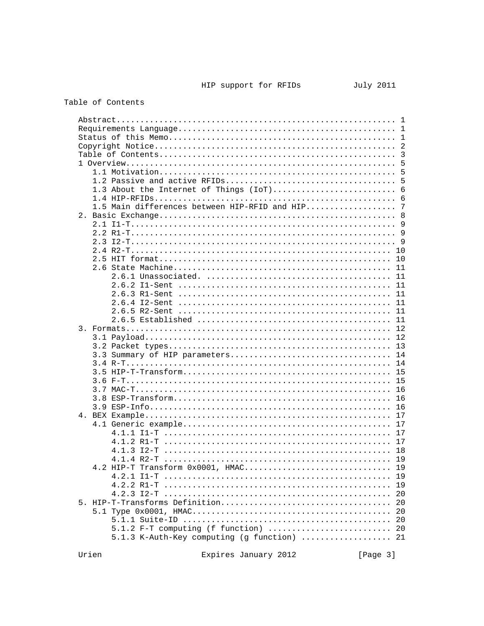# Table of Contents

|                                               | 5  |
|-----------------------------------------------|----|
|                                               | 5  |
|                                               | 5  |
| 1.3 About the Internet of Things (IoT)        | 6  |
|                                               |    |
| 1.5 Main differences between HIP-RFID and HIP | 7  |
|                                               |    |
|                                               |    |
|                                               |    |
|                                               |    |
|                                               |    |
|                                               |    |
|                                               | 10 |
|                                               | 11 |
|                                               | 11 |
|                                               |    |
|                                               |    |
|                                               |    |
|                                               |    |
|                                               |    |
|                                               |    |
|                                               |    |
|                                               |    |
|                                               |    |
|                                               |    |
|                                               |    |
|                                               |    |
|                                               |    |
|                                               |    |
|                                               |    |
|                                               |    |
|                                               |    |
|                                               |    |
|                                               |    |
|                                               |    |
|                                               |    |
|                                               |    |
| 4.2 HIP-T Transform 0x0001, HMAC              | 19 |
|                                               | 19 |
|                                               | 19 |
|                                               | 20 |
|                                               | 20 |
|                                               | 20 |
|                                               | 20 |
| 5.1.2 F-T computing (f function)  20          |    |
| 5.1.3 K-Auth-Key computing (g function)  21   |    |

Expires January 2012 [Page 3]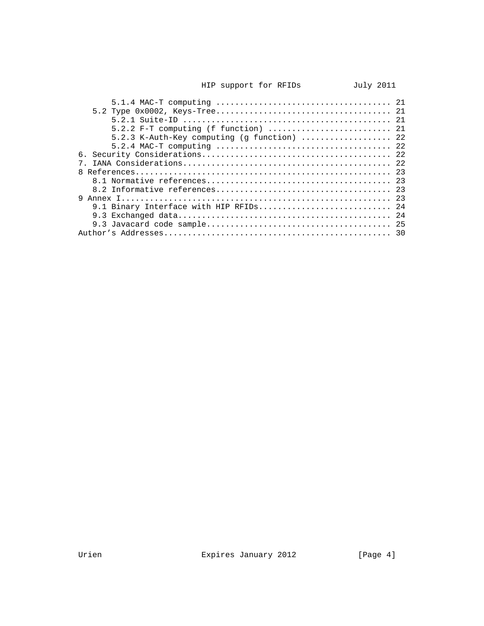| 5.2.3 K-Auth-Key computing (g function)  22 |  |
|---------------------------------------------|--|
|                                             |  |
|                                             |  |
|                                             |  |
|                                             |  |
|                                             |  |
|                                             |  |
|                                             |  |
| 9.1 Binary Interface with HIP RFIDs 24      |  |
|                                             |  |
|                                             |  |
|                                             |  |
|                                             |  |

Urien **Expires January 2012** [Page 4]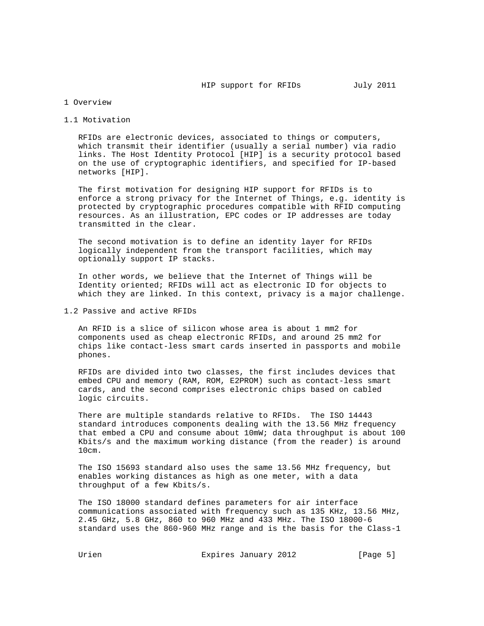## 1 Overview

### 1.1 Motivation

 RFIDs are electronic devices, associated to things or computers, which transmit their identifier (usually a serial number) via radio links. The Host Identity Protocol [HIP] is a security protocol based on the use of cryptographic identifiers, and specified for IP-based networks [HIP].

 The first motivation for designing HIP support for RFIDs is to enforce a strong privacy for the Internet of Things, e.g. identity is protected by cryptographic procedures compatible with RFID computing resources. As an illustration, EPC codes or IP addresses are today transmitted in the clear.

 The second motivation is to define an identity layer for RFIDs logically independent from the transport facilities, which may optionally support IP stacks.

 In other words, we believe that the Internet of Things will be Identity oriented; RFIDs will act as electronic ID for objects to which they are linked. In this context, privacy is a major challenge.

1.2 Passive and active RFIDs

 An RFID is a slice of silicon whose area is about 1 mm2 for components used as cheap electronic RFIDs, and around 25 mm2 for chips like contact-less smart cards inserted in passports and mobile phones.

 RFIDs are divided into two classes, the first includes devices that embed CPU and memory (RAM, ROM, E2PROM) such as contact-less smart cards, and the second comprises electronic chips based on cabled logic circuits.

 There are multiple standards relative to RFIDs. The ISO 14443 standard introduces components dealing with the 13.56 MHz frequency that embed a CPU and consume about 10mW; data throughput is about 100 Kbits/s and the maximum working distance (from the reader) is around 10cm.

 The ISO 15693 standard also uses the same 13.56 MHz frequency, but enables working distances as high as one meter, with a data throughput of a few Kbits/s.

 The ISO 18000 standard defines parameters for air interface communications associated with frequency such as 135 KHz, 13.56 MHz, 2.45 GHz, 5.8 GHz, 860 to 960 MHz and 433 MHz. The ISO 18000-6 standard uses the 860-960 MHz range and is the basis for the Class-1

Urien **Expires January 2012** [Page 5]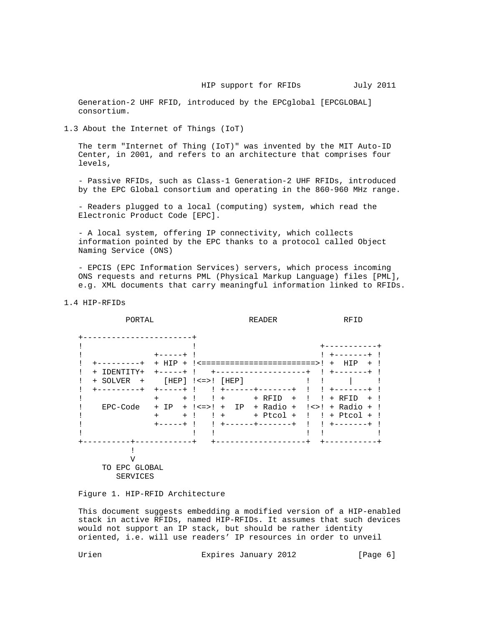Generation-2 UHF RFID, introduced by the EPCglobal [EPCGLOBAL] consortium.

1.3 About the Internet of Things (IoT)

 The term "Internet of Thing (IoT)" was invented by the MIT Auto-ID Center, in 2001, and refers to an architecture that comprises four levels,

 - Passive RFIDs, such as Class-1 Generation-2 UHF RFIDs, introduced by the EPC Global consortium and operating in the 860-960 MHz range.

 - Readers plugged to a local (computing) system, which read the Electronic Product Code [EPC].

 - A local system, offering IP connectivity, which collects information pointed by the EPC thanks to a protocol called Object Naming Service (ONS)

 - EPCIS (EPC Information Services) servers, which process incoming ONS requests and returns PML (Physical Markup Language) files [PML], e.g. XML documents that carry meaningful information linked to RFIDs.

1.4 HIP-RFIDs

PORTAL READER READER RFID +-----------------------+ ! ! +-----------+ ! +-----+ ! ! +-------+ ! ! +---------+ + HIP + !<========================>! + HIP + ! ! + IDENTITY+ +-----+ ! +-------------------+ ! +-------+ !  $!$  + SOLVER +  $[HEP]$   $!<=>!$   $[HEP]$  ! +---------+ +-----+ ! ! +------+-------+ ! ! +-------+ ! ! + + ! ! + + RFID + ! ! + RFID + ! ! EPC-Code + IP + !<=>! + IP + Radio + !<>! + Radio + ! ! + + ! ! + + Ptcol + ! ! + Ptcol + ! ! +-----+ ! ! +------+-------+ ! ! +-------+ !  $1$  !  $1$  :  $1$  :  $1$  :  $1$  :  $1$  :  $1$  :  $1$  :  $1$  :  $1$  :  $1$  :  $1$  :  $1$  :  $1$  :  $1$  :  $1$  :  $1$  :  $1$  :  $1$  :  $1$  :  $1$  :  $1$  :  $1$  :  $1$  :  $1$  :  $1$  :  $1$  :  $1$  :  $1$  :  $1$  :  $1$  :  $1$  :  $1$  :  $1$  :  $1$  :  $1$  :  $1$  : +----------+------------+ +-------------------+ +-----------+  $\mathbf{I}$  V TO EPC GLOBAL SERVICES

Figure 1. HIP-RFID Architecture

 This document suggests embedding a modified version of a HIP-enabled stack in active RFIDs, named HIP-RFIDs. It assumes that such devices would not support an IP stack, but should be rather identity oriented, i.e. will use readers' IP resources in order to unveil

Urien **Expires January 2012** [Page 6]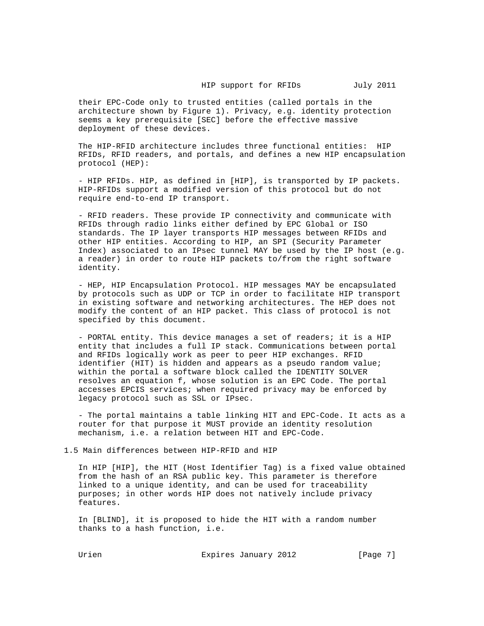their EPC-Code only to trusted entities (called portals in the architecture shown by Figure 1). Privacy, e.g. identity protection seems a key prerequisite [SEC] before the effective massive deployment of these devices.

 The HIP-RFID architecture includes three functional entities: HIP RFIDs, RFID readers, and portals, and defines a new HIP encapsulation protocol (HEP):

 - HIP RFIDs. HIP, as defined in [HIP], is transported by IP packets. HIP-RFIDs support a modified version of this protocol but do not require end-to-end IP transport.

 - RFID readers. These provide IP connectivity and communicate with RFIDs through radio links either defined by EPC Global or ISO standards. The IP layer transports HIP messages between RFIDs and other HIP entities. According to HIP, an SPI (Security Parameter Index) associated to an IPsec tunnel MAY be used by the IP host (e.g. a reader) in order to route HIP packets to/from the right software identity.

 - HEP, HIP Encapsulation Protocol. HIP messages MAY be encapsulated by protocols such as UDP or TCP in order to facilitate HIP transport in existing software and networking architectures. The HEP does not modify the content of an HIP packet. This class of protocol is not specified by this document.

 - PORTAL entity. This device manages a set of readers; it is a HIP entity that includes a full IP stack. Communications between portal and RFIDs logically work as peer to peer HIP exchanges. RFID identifier (HIT) is hidden and appears as a pseudo random value; within the portal a software block called the IDENTITY SOLVER resolves an equation f, whose solution is an EPC Code. The portal accesses EPCIS services; when required privacy may be enforced by legacy protocol such as SSL or IPsec.

 - The portal maintains a table linking HIT and EPC-Code. It acts as a router for that purpose it MUST provide an identity resolution mechanism, i.e. a relation between HIT and EPC-Code.

1.5 Main differences between HIP-RFID and HIP

 In HIP [HIP], the HIT (Host Identifier Tag) is a fixed value obtained from the hash of an RSA public key. This parameter is therefore linked to a unique identity, and can be used for traceability purposes; in other words HIP does not natively include privacy features.

 In [BLIND], it is proposed to hide the HIT with a random number thanks to a hash function, i.e.

Urien **Expires January 2012** [Page 7]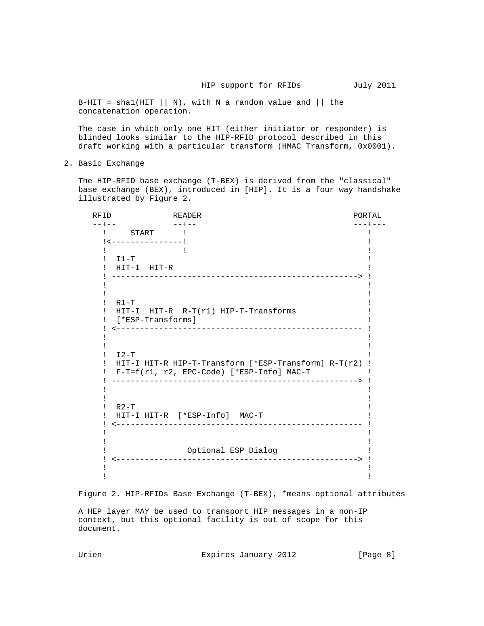B-HIT = shal(HIT  $||N|$ , with N a random value and  $||$  the concatenation operation.

 The case in which only one HIT (either initiator or responder) is blinded looks similar to the HIP-RFID protocol described in this draft working with a particular transform (HMAC Transform, 0x0001).

2. Basic Exchange

 The HIP-RFID base exchange (T-BEX) is derived from the "classical" base exchange (BEX), introduced in [HIP]. It is a four way handshake illustrated by Figure 2.

RFID READER READ READ READ ROUGH A READ ROUGH A READ ROUGH A READ ROUGH A ROUGH A READ ROUGH A READ ROUGH A REA --+-- --+-- ---+--- ! START ! ! !<---------------! ! If you have a set of the set of the set of the set of the set of the set of the set of the set of the set of t  $!$  I1-T  $!$  ! HIT-I HIT-R ! ! ----------------------------------------------------> ! If you have a set of the set of the set of the set of the set of the set of the set of the set of the set of t If you have a set of the set of the set of the set of the set of the set of the set of the set of the set of t  $\blacksquare$  . R1-T  $\blacksquare$  ! HIT-I HIT-R R-T(r1) HIP-T-Transforms ! ! [\*ESP-Transforms] ! ! <---------------------------------------------------- ! If you have a set of the set of the set of the set of the set of the set of the set of the set of the set of t If you have a set of the set of the set of the set of the set of the set of the set of the set of the set of t  $\mathbf{I} = \mathbf{I} - \mathbf{T}$  is a set of  $\mathbf{I} = \mathbf{T}$  . The set of  $\mathbf{I} = \mathbf{T}$  is a set of  $\mathbf{I} = \mathbf{T}$  is a set of  $\mathbf{I} = \mathbf{T}$  is a set of  $\mathbf{T} = \mathbf{T}$  . If  $\mathbf{T} = \mathbf{T}$  is a set of  $\mathbf{T} = \mathbf{T}$  is a set of  $\mathbf{T} =$  ! HIT-I HIT-R HIP-T-Transform [\*ESP-Transform] R-T(r2) ! ! F-T=f(r1, r2, EPC-Code) [\*ESP-Info] MAC-T ! ! ----------------------------------------------------> ! If you have a set of the set of the set of the set of the set of the set of the set of the set of the set of t If you have a set of the set of the set of the set of the set of the set of the set of the set of the set of t  $R2-T$   $\qquad \qquad$   $\qquad \qquad$   $\qquad \qquad$   $\qquad \qquad$   $\qquad \qquad$   $\qquad \qquad$   $\qquad \qquad$   $\qquad \qquad$   $\qquad \qquad$   $\qquad \qquad$   $\qquad \qquad$   $\qquad \qquad$   $\qquad \qquad$   $\qquad \qquad$   $\qquad \qquad$   $\qquad \qquad$   $\qquad \qquad$   $\qquad \qquad$   $\qquad \qquad$   $\qquad \qquad$   $\qquad \qquad$   $\qquad \qquad$   $\qquad \qquad$   $\qquad \qquad$  ! HIT-I HIT-R [\*ESP-Info] MAC-T ! ! <---------------------------------------------------- ! If you have a set of the set of the set of the set of the set of the set of the set of the set of the set of t If you have a set of the set of the set of the set of the set of the set of the set of the set of the set of t ! Optional ESP Dialog ! ! <---------------------------------------------------> ! If you have a set of the set of the set of the set of the set of the set of the set of the set of the set of t If you have a set of the set of the set of the set of the set of the set of the set of the set of the set of t

Figure 2. HIP-RFIDs Base Exchange (T-BEX), \*means optional attributes

 A HEP layer MAY be used to transport HIP messages in a non-IP context, but this optional facility is out of scope for this document.

Urien 1988 Expires January 2012 [Page 8]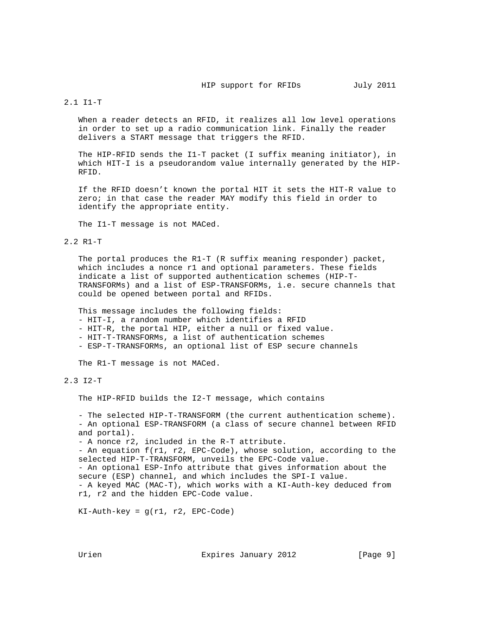### 2.1 I1-T

When a reader detects an RFID, it realizes all low level operations in order to set up a radio communication link. Finally the reader delivers a START message that triggers the RFID.

 The HIP-RFID sends the I1-T packet (I suffix meaning initiator), in which HIT-I is a pseudorandom value internally generated by the HIP- RFID.

 If the RFID doesn't known the portal HIT it sets the HIT-R value to zero; in that case the reader MAY modify this field in order to identify the appropriate entity.

The I1-T message is not MACed.

## 2.2 R1-T

 The portal produces the R1-T (R suffix meaning responder) packet, which includes a nonce r1 and optional parameters. These fields indicate a list of supported authentication schemes (HIP-T- TRANSFORMs) and a list of ESP-TRANSFORMs, i.e. secure channels that could be opened between portal and RFIDs.

 This message includes the following fields: - HIT-I, a random number which identifies a RFID - HIT-R, the portal HIP, either a null or fixed value. - HIT-T-TRANSFORMs, a list of authentication schemes - ESP-T-TRANSFORMs, an optional list of ESP secure channels

The R1-T message is not MACed.

## 2.3 I2-T

The HIP-RFID builds the I2-T message, which contains

 - The selected HIP-T-TRANSFORM (the current authentication scheme). - An optional ESP-TRANSFORM (a class of secure channel between RFID and portal).

- A nonce r2, included in the R-T attribute.

 - An equation f(r1, r2, EPC-Code), whose solution, according to the selected HIP-T-TRANSFORM, unveils the EPC-Code value.

 - An optional ESP-Info attribute that gives information about the secure (ESP) channel, and which includes the SPI-I value. - A keyed MAC (MAC-T), which works with a KI-Auth-key deduced from r1, r2 and the hidden EPC-Code value.

 $KI$ -Auth-key =  $g(rl, r2, EPC-Code)$ 

Urien **Expires January 2012** [Page 9]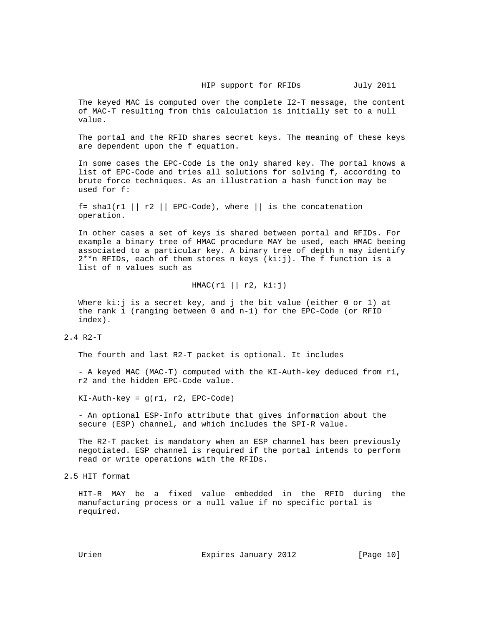The keyed MAC is computed over the complete I2-T message, the content of MAC-T resulting from this calculation is initially set to a null value.

 The portal and the RFID shares secret keys. The meaning of these keys are dependent upon the f equation.

 In some cases the EPC-Code is the only shared key. The portal knows a list of EPC-Code and tries all solutions for solving f, according to brute force techniques. As an illustration a hash function may be used for f:

f= sha1(r1 || r2 || EPC-Code), where || is the concatenation operation.

 In other cases a set of keys is shared between portal and RFIDs. For example a binary tree of HMAC procedure MAY be used, each HMAC beeing associated to a particular key. A binary tree of depth n may identify  $2**$ n RFIDs, each of them stores n keys (ki:j). The f function is a list of n values such as

## $HMAC(r1 || r2, ki:j)$

Where  $\text{k}: j$  is a secret key, and j the bit value (either 0 or 1) at the rank i (ranging between 0 and n-1) for the EPC-Code (or RFID index).

2.4 R2-T

The fourth and last R2-T packet is optional. It includes

 - A keyed MAC (MAC-T) computed with the KI-Auth-key deduced from r1, r2 and the hidden EPC-Code value.

 $KI-Auth-key = q(r1, r2, EPC-Code)$ 

 - An optional ESP-Info attribute that gives information about the secure (ESP) channel, and which includes the SPI-R value.

 The R2-T packet is mandatory when an ESP channel has been previously negotiated. ESP channel is required if the portal intends to perform read or write operations with the RFIDs.

2.5 HIT format

 HIT-R MAY be a fixed value embedded in the RFID during the manufacturing process or a null value if no specific portal is required.

Urien **Expires January 2012** [Page 10]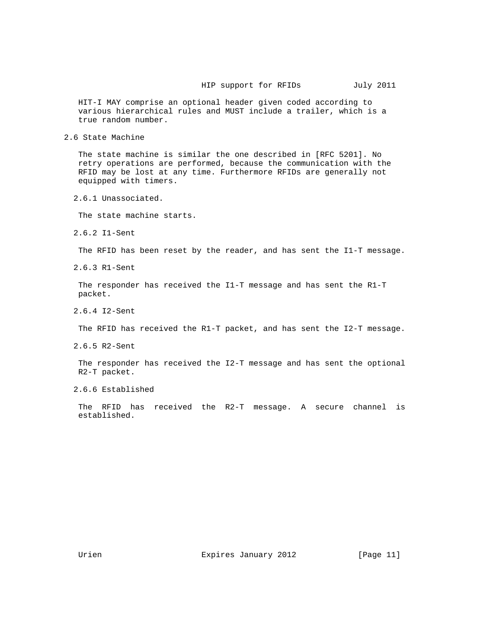HIT-I MAY comprise an optional header given coded according to various hierarchical rules and MUST include a trailer, which is a true random number.

2.6 State Machine

 The state machine is similar the one described in [RFC 5201]. No retry operations are performed, because the communication with the RFID may be lost at any time. Furthermore RFIDs are generally not equipped with timers.

2.6.1 Unassociated.

The state machine starts.

2.6.2 I1-Sent

The RFID has been reset by the reader, and has sent the I1-T message.

2.6.3 R1-Sent

 The responder has received the I1-T message and has sent the R1-T packet.

2.6.4 I2-Sent

The RFID has received the R1-T packet, and has sent the I2-T message.

2.6.5 R2-Sent

 The responder has received the I2-T message and has sent the optional R2-T packet.

2.6.6 Established

 The RFID has received the R2-T message. A secure channel is established.

Urien **Expires January 2012** [Page 11]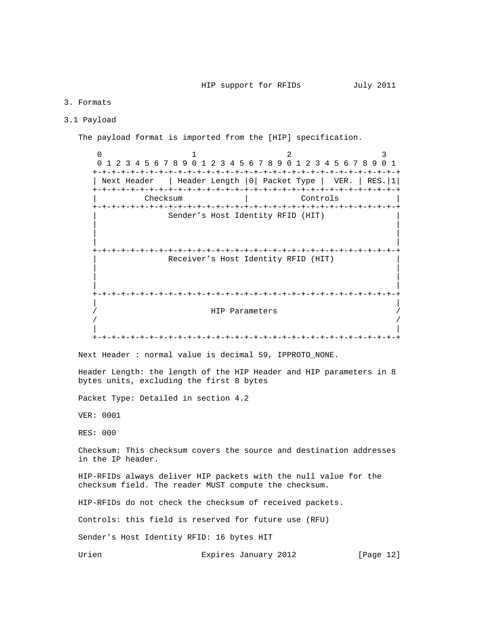### 3. Formats

### 3.1 Payload

The payload format is imported from the [HIP] specification.

0  $1$  2 3 0 1 2 3 4 5 6 7 8 9 0 1 2 3 4 5 6 7 8 9 0 1 2 3 4 5 6 7 8 9 0 1 +-+-+-+-+-+-+-+-+-+-+-+-+-+-+-+-+-+-+-+-+-+-+-+-+-+-+-+-+-+-+-+-+ | Next Header | Header Length |0| Packet Type | VER. | RES.|1| +-+-+-+-+-+-+-+-+-+-+-+-+-+-+-+-+-+-+-+-+-+-+-+-+-+-+-+-+-+-+-+-+ | Checksum | Controls | +-+-+-+-+-+-+-+-+-+-+-+-+-+-+-+-+-+-+-+-+-+-+-+-+-+-+-+-+-+-+-+-+ Sender's Host Identity RFID (HIT) | | | | | | +-+-+-+-+-+-+-+-+-+-+-+-+-+-+-+-+-+-+-+-+-+-+-+-+-+-+-+-+-+-+-+-+ Receiver's Host Identity RFID (HIT) | | | | | | +-+-+-+-+-+-+-+-+-+-+-+-+-+-+-+-+-+-+-+-+-+-+-+-+-+-+-+-+-+-+-+-+ | | / HIP Parameters /  $\sqrt{2}$  /  $\sqrt{2}$  /  $\sqrt{2}$  /  $\sqrt{2}$  /  $\sqrt{2}$  /  $\sqrt{2}$  /  $\sqrt{2}$  /  $\sqrt{2}$  /  $\sqrt{2}$  /  $\sqrt{2}$  /  $\sqrt{2}$  /  $\sqrt{2}$  /  $\sqrt{2}$  /  $\sqrt{2}$  /  $\sqrt{2}$  /  $\sqrt{2}$  /  $\sqrt{2}$  /  $\sqrt{2}$  /  $\sqrt{2}$  /  $\sqrt{2}$  /  $\sqrt{2}$  /  $\sqrt{2}$  / | | +-+-+-+-+-+-+-+-+-+-+-+-+-+-+-+-+-+-+-+-+-+-+-+-+-+-+-+-+-+-+-+-+ Next Header : normal value is decimal 59, IPPROTO\_NONE.

 Header Length: the length of the HIP Header and HIP parameters in 8 bytes units, excluding the first 8 bytes

Packet Type: Detailed in section 4.2

VER: 0001

RES: 000

 Checksum: This checksum covers the source and destination addresses in the IP header.

 HIP-RFIDs always deliver HIP packets with the null value for the checksum field. The reader MUST compute the checksum.

HIP-RFIDs do not check the checksum of received packets.

Controls: this field is reserved for future use (RFU)

Sender's Host Identity RFID: 16 bytes HIT

Urien **Expires January 2012** [Page 12]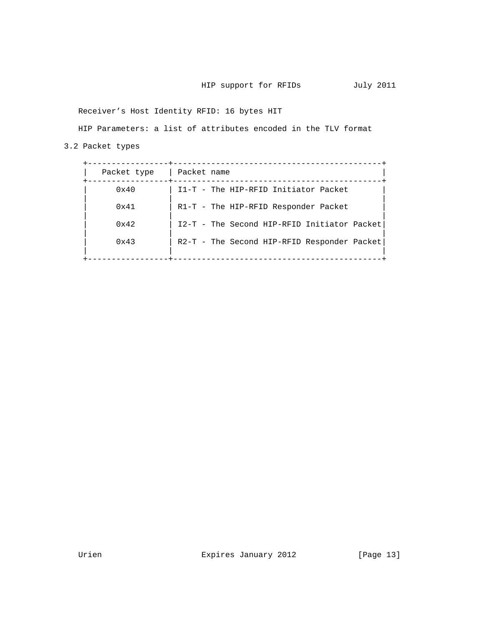Receiver's Host Identity RFID: 16 bytes HIT

HIP Parameters: a list of attributes encoded in the TLV format

3.2 Packet types

| Packet type   | Packet name                                 |
|---------------|---------------------------------------------|
| $0 \times 40$ | I1-T - The HIP-RFID Initiator Packet        |
| 0x41          | $R1-T$ - The HIP-RFID Responder Packet      |
| 0x42          | I2-T - The Second HIP-RFID Initiator Packet |
| 0x43          | R2-T - The Second HIP-RFID Responder Packet |
|               |                                             |

Urien Expires January 2012 [Page 13]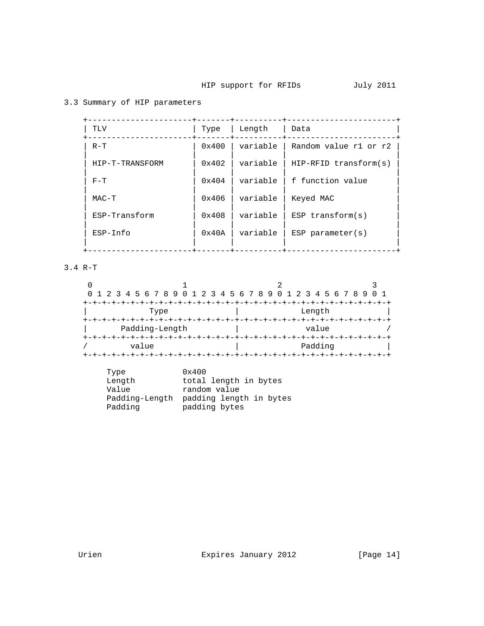# 3.3 Summary of HIP parameters

| TLV             | Type            | Length   | Data                    |
|-----------------|-----------------|----------|-------------------------|
| $R-T$           | 0x400           | variable | Random value r1 or r2   |
| HIP-T-TRANSFORM | $0 \times 402$  | variable | $HIP-RFID transform(s)$ |
| $F-T$           | $0 \times 404$  | variable | f function value        |
| MAC-T           | 0x406           | variable | Keyed MAC               |
| ESP-Transform   | $0 \times 408$  | variable | $ESP$ transform( $s$ )  |
| $ESP-Info$      | $0 \times 40$ A | variable | $ESP$ parameter(s)      |
|                 |                 |          |                         |

3.4 R-T

|                |  | 0 1 2 3 4 5 6 7 8 9 0 1 2 3 4 5 6 7 8 9 0 1 2 3 4 5 6 7 8 9 |  |
|----------------|--|-------------------------------------------------------------|--|
|                |  |                                                             |  |
| Type           |  | Length                                                      |  |
|                |  |                                                             |  |
| Padding-Length |  | value                                                       |  |
|                |  |                                                             |  |
| value          |  | Padding                                                     |  |
|                |  |                                                             |  |

| Type           | 0x400                   |
|----------------|-------------------------|
| Length         | total length in bytes   |
| Value          | random value            |
| Padding-Length | padding length in bytes |
| Padding        | padding bytes           |

Urien **Expires January 2012** [Page 14]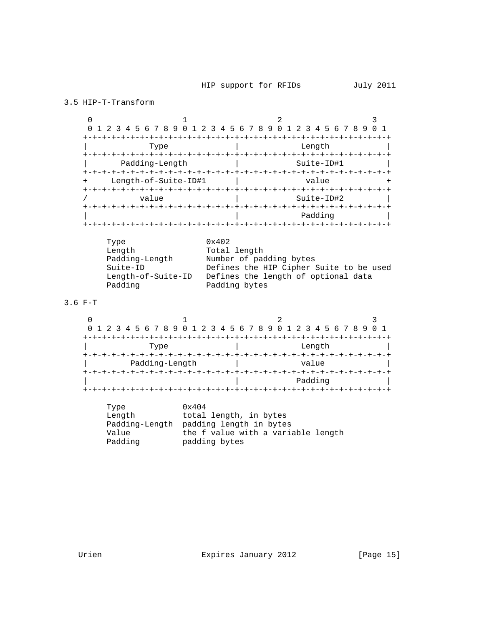```
3.5 HIP-T-Transform
```
 $0$  1 2 3 0 1 2 3 4 5 6 7 8 9 0 1 2 3 4 5 6 7 8 9 0 1 2 3 4 5 6 7 8 9 0 1 +-+-+-+-+-+-+-+-+-+-+-+-+-+-+-+-+-+-+-+-+-+-+-+-+-+-+-+-+-+-+-+-+ Type  $|$  Length +-+-+-+-+-+-+-+-+-+-+-+-+-+-+-+-+-+-+-+-+-+-+-+-+-+-+-+-+-+-+-+-+ Padding-Length | +-+-+-+-+-+-+-+-+-+-+-+-+-+-+-+-+-+-+-+-+-+-+-+-+-+-+-+-+-+-+-+-+ + Length-of-Suite-ID#1 | value + +-+-+-+-+-+-+-+-+-+-+-+-+-+-+-+-+-+-+-+-+-+-+-+-+-+-+-+-+-+-+-+-+ / value | Suite-ID#2 | +-+-+-+-+-+-+-+-+-+-+-+-+-+-+-+-+-+-+-+-+-+-+-+-+-+-+-+-+-+-+-+-+ | | Padding | +-+-+-+-+-+-+-+-+-+-+-+-+-+-+-+-+-+-+-+-+-+-+-+-+-+-+-+-+-+-+-+-+

| Length<br>Total length                                    |  |
|-----------------------------------------------------------|--|
|                                                           |  |
| Padding-Length<br>Number of padding bytes                 |  |
| Defines the HIP Cipher Suite to be used<br>Suite-ID       |  |
| Defines the length of optional data<br>Length-of-Suite-ID |  |
| Padding bytes<br>Padding                                  |  |

## 3.6 F-T

|                | 0 1 2 3 4 5 6 7 8 9 0 1 2 3 4 5 6 7 8 9 0 1 2 3 4 5 6 7 8 9 |  |
|----------------|-------------------------------------------------------------|--|
|                |                                                             |  |
| Type           | Length                                                      |  |
| Padding-Length | value                                                       |  |
|                |                                                             |  |
|                | Padding                                                     |  |
|                |                                                             |  |

| Type           | 0x404                              |
|----------------|------------------------------------|
| Length         | total length, in bytes             |
| Padding-Length | padding length in bytes            |
| Value          | the f value with a variable length |
| Padding        | padding bytes                      |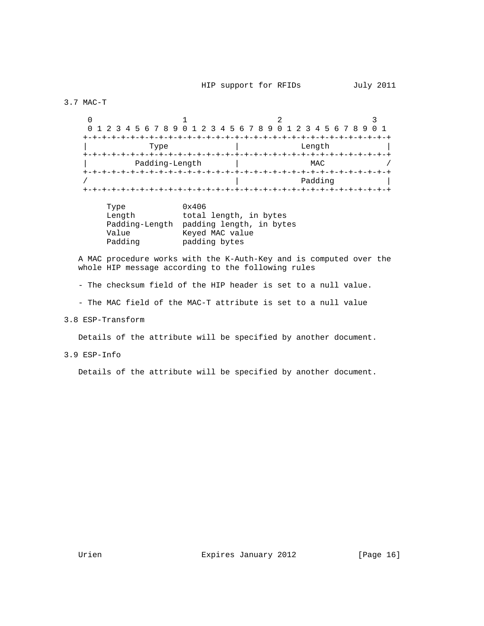3.7 MAC-T

 $0$  1 2 3 0 1 2 3 4 5 6 7 8 9 0 1 2 3 4 5 6 7 8 9 0 1 2 3 4 5 6 7 8 9 0 1 +-+-+-+-+-+-+-+-+-+-+-+-+-+-+-+-+-+-+-+-+-+-+-+-+-+-+-+-+-+-+-+-+ | Type | Length | L +-+-+-+-+-+-+-+-+-+-+-+-+-+-+-+-+-+-+-+-+-+-+-+-+-+-+-+-+-+-+-+-+ Padding-Length  $|$  MAC / +-+-+-+-+-+-+-+-+-+-+-+-+-+-+-+-+-+-+-+-+-+-+-+-+-+-+-+-+-+-+-+-+ Padding +-+-+-+-+-+-+-+-+-+-+-+-+-+-+-+-+-+-+-+-+-+-+-+-+-+-+-+-+-+-+-+-+

| Type           | 0x406                    |
|----------------|--------------------------|
| Length         | total length, in bytes   |
| Padding-Length | padding length, in bytes |
| Value          | Keyed MAC value          |
| Padding        | padding bytes            |

 A MAC procedure works with the K-Auth-Key and is computed over the whole HIP message according to the following rules

- The checksum field of the HIP header is set to a null value.

- The MAC field of the MAC-T attribute is set to a null value

3.8 ESP-Transform

Details of the attribute will be specified by another document.

## 3.9 ESP-Info

Details of the attribute will be specified by another document.

Urien **Expires January 2012** [Page 16]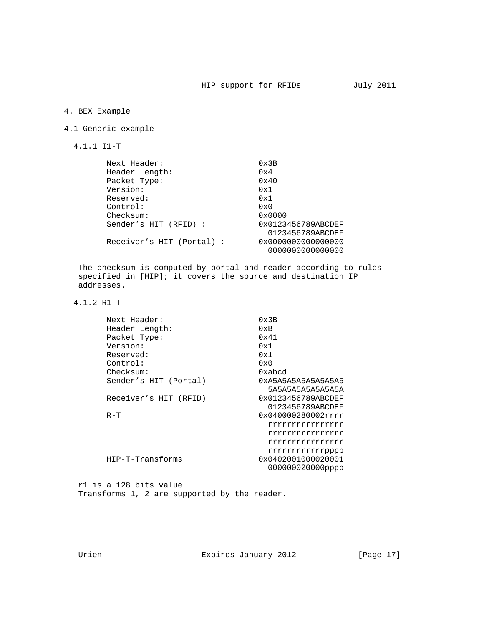# 4. BEX Example

## 4.1 Generic example

4.1.1 I1-T

| Next Header:              | $0 \times 3B$      |
|---------------------------|--------------------|
| Header Length:            | 0x4                |
| Packet Type:              | 0x40               |
| Version:                  | 0x1                |
| Reserved:                 | 0x1                |
| Control:                  | $0 \times 0$       |
| Checksum:                 | 0x0000             |
| Sender's HIT (RFID) :     | 0x0123456789ABCDEF |
|                           | 0123456789ABCDEF   |
| Receiver's HIT (Portal) : | 0x0000000000000000 |
|                           | 0000000000000000   |

 The checksum is computed by portal and reader according to rules specified in [HIP]; it covers the source and destination IP addresses.

4.1.2 R1-T

| Next Header:          | 0x3B                                   |
|-----------------------|----------------------------------------|
| Header Length:        | 0xB                                    |
| Packet Type:          | 0x41                                   |
| Version:              | 0x1                                    |
| Reserved:             | 0x1                                    |
| Control:              | $0 \times 0$                           |
| Checksum:             | 0xabcd                                 |
| Sender's HIT (Portal) | 0xA5A5A5A5A5A5A5A5                     |
|                       | 5A5A5A5A5A5A5A5A                       |
| Receiver's HIT (RFID) | 0x0123456789ABCDEF<br>0123456789ABCDEF |
| $R-T$                 | 0x040000280002rrrr                     |
|                       | rrrrrrrrrrrrrrrr                       |
|                       | rrrrrrrrrrrrrrrr                       |
|                       | rrrrrrrrrrrrrrrr                       |
|                       | rrrrrrrrrrrpppp                        |
| HIP-T-Transforms      | 0x0402001000020001                     |
|                       | 000000020000pppp                       |
|                       |                                        |

 r1 is a 128 bits value Transforms 1, 2 are supported by the reader.

Urien Expires January 2012 [Page 17]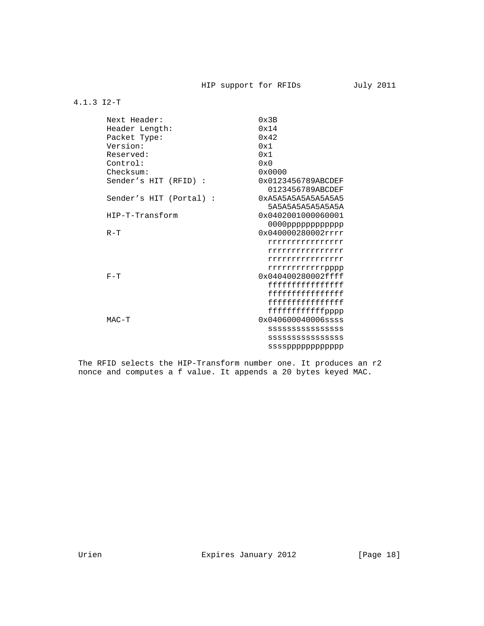### 4.1.3 I2-T

| Next Header:            | 0x3B                                      |
|-------------------------|-------------------------------------------|
| Header Length:          | 0x14                                      |
| Packet Type:            | 0x42                                      |
| Version:                | 0x1                                       |
| Reserved:               | 0x1                                       |
| Control:                | $0 \times 0$                              |
| Checksum:               | 0x0000                                    |
| Sender's HIT (RFID) :   | 0x0123456789ABCDEF<br>0123456789ABCDEF    |
| Sender's HIT (Portal) : | 0xA5A5A5A5A5A5A5A5                        |
|                         | 5A5A5A5A5A5A5A5A                          |
| HIP-T-Transform         | 0x0402001000060001                        |
|                         |                                           |
| $R-T$                   | 0x040000280002rrrr                        |
|                         | rrrrrrrrrrrrrrrr                          |
|                         | rrrrrrrrrrrrrrrr                          |
|                         |                                           |
|                         | rrrrrrrrrrrrrrrr                          |
| $F-T$                   | rrrrrrrrrrrpppp<br>0x040400280002ffff     |
|                         | fffffffffffffffffffffffff                 |
|                         | fffffffffffffffffffffffff                 |
|                         | $fffffffffffffffffffffffff$               |
|                         |                                           |
|                         | ffffffffffffpppp<br>$0x040600040006$ ssss |
| $MAC-T$                 |                                           |
|                         | <b>SSSSSSSSSSSSSSSSS</b>                  |
|                         | SSSSSSSSSSSSSSS                           |
|                         | ssssppppppppppppp                         |

 The RFID selects the HIP-Transform number one. It produces an r2 nonce and computes a f value. It appends a 20 bytes keyed MAC.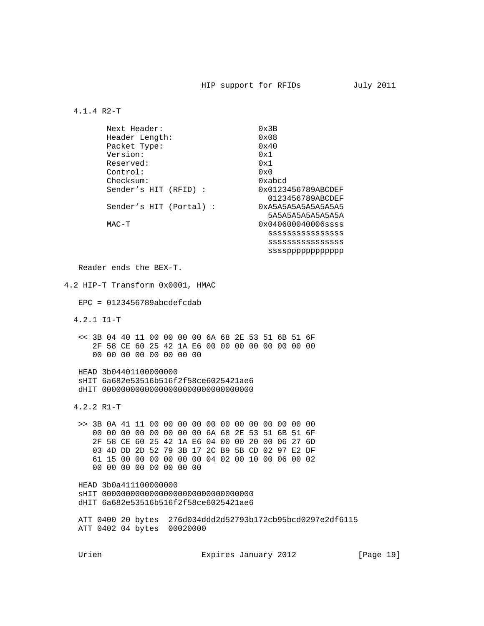### 4.1.4 R2-T

| Next Header:            | $0 \times 3B$         |
|-------------------------|-----------------------|
| Header Length:          | $0 \times 08$         |
| Packet Type:            | 0x40                  |
| Version:                | 0x1                   |
| Reserved:               | 0x1                   |
| Control:                | $0 \times 0$          |
| Checksum:               | 0xabcd                |
| Sender's HIT (RFID):    | 0x0123456789ABCDEF    |
|                         | 0123456789ABCDEF      |
| Sender's HIT (Portal) : | 0xA5A5A5A5A5A5A5A5    |
|                         | 5454545454545454      |
| MAC-T                   | $0x040600040006$ ssss |
|                         | SSSSSSSSSSSSSSS       |
|                         | SSSSSSSSSSSSSSS       |
|                         | ssssppppppppppppp     |

Reader ends the BEX-T.

4.2 HIP-T Transform 0x0001, HMAC

 $EPC = 0123456789abcdefcdab$ 

4.2.1 I1-T

 << 3B 04 40 11 00 00 00 00 6A 68 2E 53 51 6B 51 6F 2F 58 CE 60 25 42 1A E6 00 00 00 00 00 00 00 00 00 00 00 00 00 00 00 00

 HEAD 3b04401100000000 sHIT 6a682e53516b516f2f58ce6025421ae6 dHIT 00000000000000000000000000000000

4.2.2 R1-T

 >> 3B 0A 41 11 00 00 00 00 00 00 00 00 00 00 00 00 00 00 00 00 00 00 00 00 6A 68 2E 53 51 6B 51 6F 2F 58 CE 60 25 42 1A E6 04 00 00 20 00 06 27 6D 03 4D DD 2D 52 79 3B 17 2C B9 5B CD 02 97 E2 DF 61 15 00 00 00 00 00 00 04 02 00 10 00 06 00 02 00 00 00 00 00 00 00 00

 HEAD 3b0a411100000000 sHIT 00000000000000000000000000000000 dHIT 6a682e53516b516f2f58ce6025421ae6

 ATT 0400 20 bytes 276d034ddd2d52793b172cb95bcd0297e2df6115 ATT 0402 04 bytes 00020000

Urien Expires January 2012 [Page 19]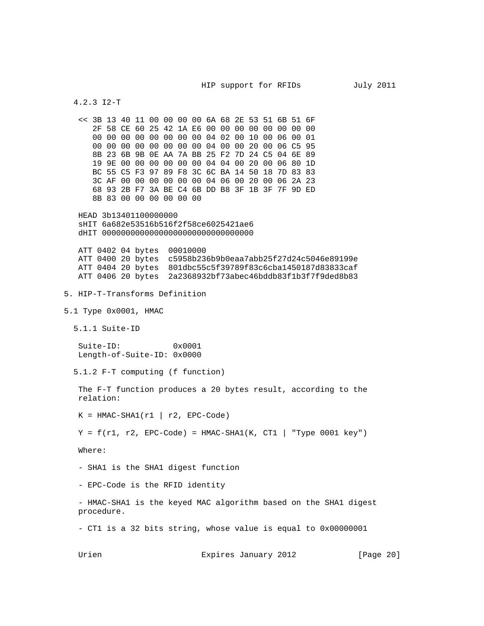4.2.3 I2-T

 << 3B 13 40 11 00 00 00 00 6A 68 2E 53 51 6B 51 6F 2F 58 CE 60 25 42 1A E6 00 00 00 00 00 00 00 00 00 00 00 00 00 00 00 00 04 02 00 10 00 06 00 01 00 00 00 00 00 00 00 00 04 00 00 20 00 06 C5 95 8B 23 6B 9B 0E AA 7A BB 25 F2 7D 24 C5 04 6E 89 19 9E 00 00 00 00 00 00 04 04 00 20 00 06 80 1D BC 55 C5 F3 97 89 F8 3C 6C BA 14 50 18 7D 83 83 3C AF 00 00 00 00 00 00 04 06 00 20 00 06 2A 23 68 93 2B F7 3A BE C4 6B DD B8 3F 1B 3F 7F 9D ED 8B 83 00 00 00 00 00 00

 HEAD 3b13401100000000 sHIT 6a682e53516b516f2f58ce6025421ae6 dHIT 00000000000000000000000000000000

 ATT 0402 04 bytes 00010000 ATT 0400 20 bytes c5958b236b9b0eaa7abb25f27d24c5046e89199e ATT 0404 20 bytes 801dbc55c5f39789f83c6cba1450187d83833caf ATT 0406 20 bytes 2a2368932bf73abec46bddb83f1b3f7f9ded8b83

- 5. HIP-T-Transforms Definition
- 5.1 Type 0x0001, HMAC
	- 5.1.1 Suite-ID

 Suite-ID: 0x0001 Length-of-Suite-ID: 0x0000

5.1.2 F-T computing (f function)

 The F-T function produces a 20 bytes result, according to the relation:

 $K = HMAC-SHA1(r1 | r2, EPC-Code)$ 

 $Y = f(r1, r2, EPC-Code) = HMAC-SHA1(K, CT1 | "Type 0001 key")$ 

Where:

- SHA1 is the SHA1 digest function

- EPC-Code is the RFID identity

 - HMAC-SHA1 is the keyed MAC algorithm based on the SHA1 digest procedure.

- CT1 is a 32 bits string, whose value is equal to 0x00000001

Urien **Expires January 2012** [Page 20]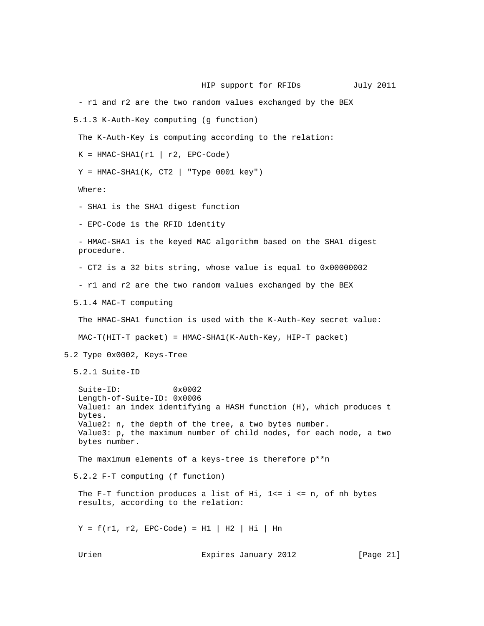- r1 and r2 are the two random values exchanged by the BEX 5.1.3 K-Auth-Key computing (g function) The K-Auth-Key is computing according to the relation:  $K = HMAC-SHA1(r1 | r2, EPC-Code)$  $Y$  = HMAC-SHA1(K, CT2 | "Type 0001 key") Where: - SHA1 is the SHA1 digest function - EPC-Code is the RFID identity - HMAC-SHA1 is the keyed MAC algorithm based on the SHA1 digest procedure. - CT2 is a 32 bits string, whose value is equal to 0x00000002 - r1 and r2 are the two random values exchanged by the BEX 5.1.4 MAC-T computing The HMAC-SHA1 function is used with the K-Auth-Key secret value: MAC-T(HIT-T packet) = HMAC-SHA1(K-Auth-Key, HIP-T packet) 5.2 Type 0x0002, Keys-Tree 5.2.1 Suite-ID Suite-ID: 0x0002 Length-of-Suite-ID: 0x0006 Value1: an index identifying a HASH function (H), which produces t bytes. Value2: n, the depth of the tree, a two bytes number. Value3: p, the maximum number of child nodes, for each node, a two bytes number. The maximum elements of a keys-tree is therefore p\*\*n 5.2.2 F-T computing (f function) The F-T function produces a list of Hi,  $1<=$  i  $<=$  n, of nh bytes results, according to the relation:  $Y = f(r1, r2, EPC-Code) = H1 | H2 | Hi | Hn$ Urien **Expires January 2012** [Page 21]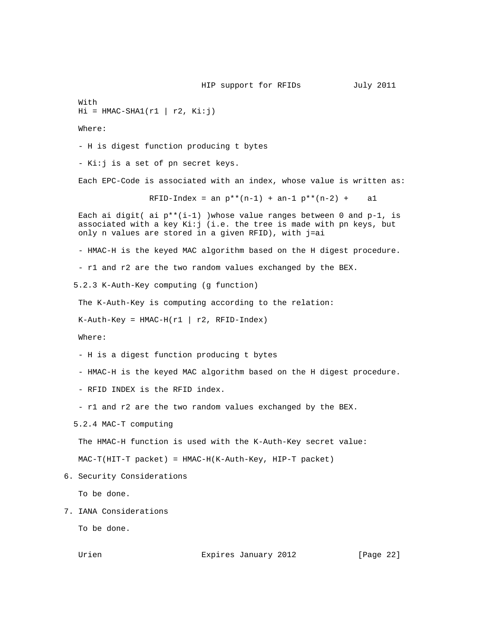With  $Hi = HMAC-SHA1(r1 | r2, Ki:j)$ 

Where:

- H is digest function producing t bytes

- Ki:j is a set of pn secret keys.

Each EPC-Code is associated with an index, whose value is written as:

RFID-Index = an  $p^{**}(n-1)$  + an-1  $p^{**}(n-2)$  + al

Each ai digit( ai  $p^{**}(i-1)$  )whose value ranges between 0 and  $p-1$ , is associated with a key Ki:j (i.e. the tree is made with pn keys, but only n values are stored in a given RFID), with j=ai

- HMAC-H is the keyed MAC algorithm based on the H digest procedure.

- r1 and r2 are the two random values exchanged by the BEX.

5.2.3 K-Auth-Key computing (g function)

The K-Auth-Key is computing according to the relation:

 $K-Auth-Key = HMAC-H(r1 | r2, RFID-Index)$ 

Where:

- H is a digest function producing t bytes

- HMAC-H is the keyed MAC algorithm based on the H digest procedure.

- RFID INDEX is the RFID index.

- r1 and r2 are the two random values exchanged by the BEX.

5.2.4 MAC-T computing

The HMAC-H function is used with the K-Auth-Key secret value:

MAC-T(HIT-T packet) = HMAC-H(K-Auth-Key, HIP-T packet)

6. Security Considerations

To be done.

7. IANA Considerations

To be done.

Urien **Expires January 2012** [Page 22]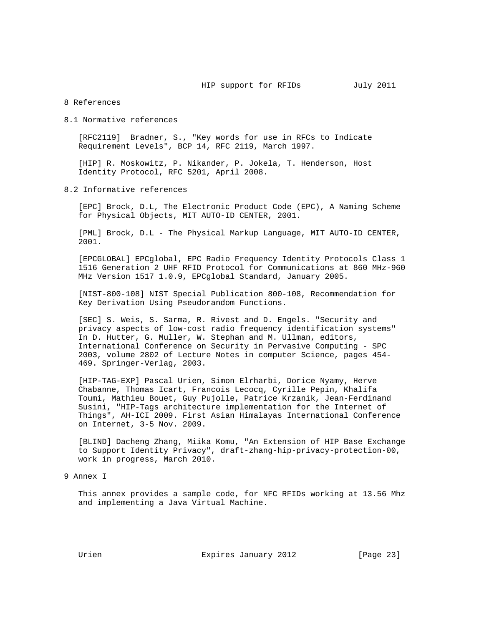### 8 References

8.1 Normative references

 [RFC2119] Bradner, S., "Key words for use in RFCs to Indicate Requirement Levels", BCP 14, RFC 2119, March 1997.

 [HIP] R. Moskowitz, P. Nikander, P. Jokela, T. Henderson, Host Identity Protocol, RFC 5201, April 2008.

8.2 Informative references

 [EPC] Brock, D.L, The Electronic Product Code (EPC), A Naming Scheme for Physical Objects, MIT AUTO-ID CENTER, 2001.

 [PML] Brock, D.L - The Physical Markup Language, MIT AUTO-ID CENTER, 2001.

 [EPCGLOBAL] EPCglobal, EPC Radio Frequency Identity Protocols Class 1 1516 Generation 2 UHF RFID Protocol for Communications at 860 MHz-960 MHz Version 1517 1.0.9, EPCglobal Standard, January 2005.

 [NIST-800-108] NIST Special Publication 800-108, Recommendation for Key Derivation Using Pseudorandom Functions.

 [SEC] S. Weis, S. Sarma, R. Rivest and D. Engels. "Security and privacy aspects of low-cost radio frequency identification systems" In D. Hutter, G. Muller, W. Stephan and M. Ullman, editors, International Conference on Security in Pervasive Computing - SPC 2003, volume 2802 of Lecture Notes in computer Science, pages 454- 469. Springer-Verlag, 2003.

 [HIP-TAG-EXP] Pascal Urien, Simon Elrharbi, Dorice Nyamy, Herve Chabanne, Thomas Icart, Francois Lecocq, Cyrille Pepin, Khalifa Toumi, Mathieu Bouet, Guy Pujolle, Patrice Krzanik, Jean-Ferdinand Susini, "HIP-Tags architecture implementation for the Internet of Things", AH-ICI 2009. First Asian Himalayas International Conference on Internet, 3-5 Nov. 2009.

 [BLIND] Dacheng Zhang, Miika Komu, "An Extension of HIP Base Exchange to Support Identity Privacy", draft-zhang-hip-privacy-protection-00, work in progress, March 2010.

9 Annex I

 This annex provides a sample code, for NFC RFIDs working at 13.56 Mhz and implementing a Java Virtual Machine.

Urien Expires January 2012 [Page 23]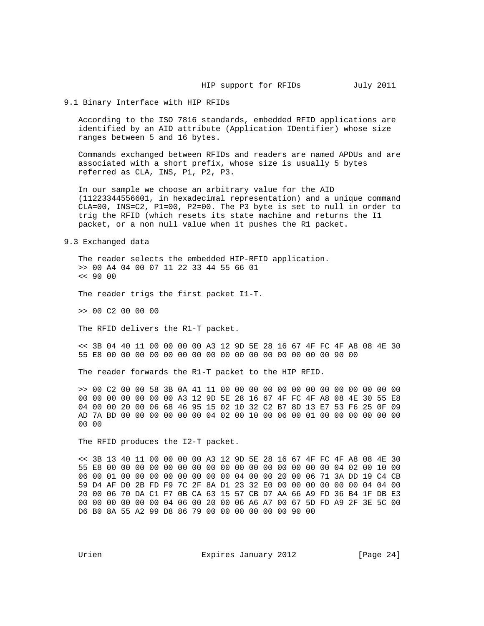### 9.1 Binary Interface with HIP RFIDs

 According to the ISO 7816 standards, embedded RFID applications are identified by an AID attribute (Application IDentifier) whose size ranges between 5 and 16 bytes.

 Commands exchanged between RFIDs and readers are named APDUs and are associated with a short prefix, whose size is usually 5 bytes referred as CLA, INS, P1, P2, P3.

 In our sample we choose an arbitrary value for the AID (11223344556601, in hexadecimal representation) and a unique command CLA=00, INS=C2, P1=00, P2=00. The P3 byte is set to null in order to trig the RFID (which resets its state machine and returns the I1 packet, or a non null value when it pushes the R1 packet.

#### 9.3 Exchanged data

 The reader selects the embedded HIP-RFID application. >> 00 A4 04 00 07 11 22 33 44 55 66 01 << 90 00

The reader trigs the first packet I1-T.

>> 00 C2 00 00 00

The RFID delivers the R1-T packet.

 << 3B 04 40 11 00 00 00 00 A3 12 9D 5E 28 16 67 4F FC 4F A8 08 4E 30 55 E8 00 00 00 00 00 00 00 00 00 00 00 00 00 00 00 00 90 00

The reader forwards the R1-T packet to the HIP RFID.

 >> 00 C2 00 00 58 3B 0A 41 11 00 00 00 00 00 00 00 00 00 00 00 00 00 00 00 00 00 00 00 00 A3 12 9D 5E 28 16 67 4F FC 4F A8 08 4E 30 55 E8 04 00 00 20 00 06 68 46 95 15 02 10 32 C2 B7 8D 13 E7 53 F6 25 0F 09 AD 7A BD 00 00 00 00 00 00 04 02 00 10 00 06 00 01 00 00 00 00 00 00 00 00

The RFID produces the I2-T packet.

 << 3B 13 40 11 00 00 00 00 A3 12 9D 5E 28 16 67 4F FC 4F A8 08 4E 30 55 E8 00 00 00 00 00 00 00 00 00 00 00 00 00 00 00 00 04 02 00 10 00 06 00 01 00 00 00 00 00 00 00 00 04 00 00 20 00 06 71 3A DD 19 C4 CB 59 D4 AF D0 2B FD F9 7C 2F 8A D1 23 32 E0 00 00 00 00 00 00 04 04 00 20 00 06 70 DA C1 F7 0B CA 63 15 57 CB D7 AA 66 A9 FD 36 B4 1F DB E3 00 00 00 00 00 00 04 06 00 20 00 06 A6 A7 00 67 5D FD A9 2F 3E 5C 00 D6 B0 8A 55 A2 99 D8 86 79 00 00 00 00 00 00 90 00

Urien **Expires January 2012** [Page 24]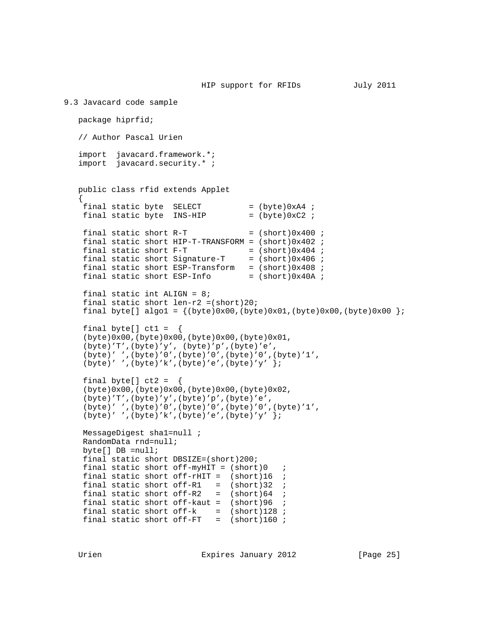```
9.3 Javacard code sample
    package hiprfid;
    // Author Pascal Urien
    import javacard.framework.*;
    import javacard.security.* ;
    public class rfid extends Applet
\{ \cdot \cdot \cdot \cdot \cdot \cdot \cdot \cdot \cdot \cdot \cdot \cdot \cdot \cdot \cdot \cdot \cdot \cdot \cdot \cdot \cdot \cdot \cdot \cdot \cdot \cdot \cdot \cdot \cdot \cdot \cdot \cdot \cdot \cdot \cdot \cdot 
    final static byte SELECT = (byte)0xA4 ;<br>final static byte INS-HIP = (byte)0xC2 ;
    final static byte INS-HIP
    final static short R-T = (short)0x400 ;
     final static short HIP-T-TRANSFORM = (short)0x402 ;
    final static short F-T = (short)0x404 ;
    final static short Signature-T = (short)0x406 ;
    final static short ESP-Transform = (short)0x408 ;
    final static short ESP-Info = (\text{short})0x40A ;
    final static int ALIGN = 8;
    final static short len-r2 = (short)20;
    final byte[] algo1 = \{(byte)0x00, (byte)0x01, (byte)0x00, (byte)0x00\})final byte[] ct1 = \{ (byte)0x00,(byte)0x00,(byte)0x00,(byte)0x01,
     (byte)'T',(byte)'y', (byte)'p',(byte)'e',
     (byte)' ',(byte)'0',(byte)'0',(byte)'0',(byte)'1',
    (byte)' ',(byte)'k',(byte)'e',(byte)'y' };
    final byte[] ct2 = \{ (byte)0x00,(byte)0x00,(byte)0x00,(byte)0x02,
     (byte)'T',(byte)'y',(byte)'p',(byte)'e',
     (byte)' ',(byte)'0',(byte)'0',(byte)'0',(byte)'1',
    (byte)' ',(byte)'k',(byte)'e',(byte)'y' };
     MessageDigest sha1=null ;
     RandomData rnd=null;
     byte[] DB =null;
     final static short DBSIZE=(short)200;
    final static short off-myHIT = (short)0 ;
    final static short off-rHIT = (short)16 ;
    final static short off-R1 = (short)32 ;
    final static short of f-R2 = (short)64 ;
    final static short of f-kaut = (short)96 ;
    final static short of f-k = (short)128 ;
    final static short off-FT = (short)160;
```
Urien Expires January 2012 [Page 25]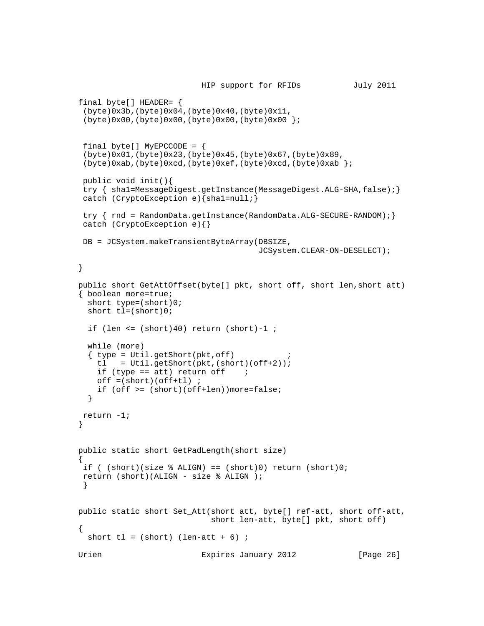```
 HIP support for RFIDs July 2011
    final byte[] HEADER= {
      (byte)0x3b,(byte)0x04,(byte)0x40,(byte)0x11,
      (byte)0x00,(byte)0x00,(byte)0x00,(byte)0x00 };
     final byte[] MyEPCCODE = {
      (byte)0x01,(byte)0x23,(byte)0x45,(byte)0x67,(byte)0x89,
     (byte)0xab,(byte)0xcd,(byte)0xef,(byte)0xcd,(byte)0xab \};
     public void init(){
    try { shal=MessageDigest.getInstance(MessageDigest.ALG-SHA,false);}
     catch (CryptoException e){sha1=null;}
    try { rnd = RandomData.getInstance(RandomData.ALG-SECURE-RANDOM); }
     catch (CryptoException e){}
     DB = JCSystem.makeTransientByteArray(DBSIZE,
                                                       JCSystem.CLEAR-ON-DESELECT);
    }
    public short GetAttOffset(byte[] pkt, short off, short len,short att)
    { boolean more=true;
       short type=(short)0;
       short tl=(short)0;
      if (len \le (short)40) return (short)-1 ;
       while (more)
      \{ type = Util.getShort(pkt,off)tl = Util.getShort(pkt,(short)(off+2));
        if (type == att) return off ioff = (short)(off + tl);
         if (off >= (short)(off+len))more=false;
       }
     return -1;
    }
    public static short GetPadLength(short size)
\{ \cdot \cdot \cdot \cdot \cdot \cdot \cdot \cdot \cdot \cdot \cdot \cdot \cdot \cdot \cdot \cdot \cdot \cdot \cdot \cdot \cdot \cdot \cdot \cdot \cdot \cdot \cdot \cdot \cdot \cdot \cdot \cdot \cdot \cdot \cdot \cdot 
    if ( (short)(size % ALIGN) == (short)0) return (short)0; return (short)(ALIGN - size % ALIGN );
     }
    public static short Set_Att(short att, byte[] ref-att, short off-att,
                                         short len-att, byte[] pkt, short off)
\{ \cdot \cdot \cdot \cdot \cdot \cdot \cdot \cdot \cdot \cdot \cdot \cdot \cdot \cdot \cdot \cdot \cdot \cdot \cdot \cdot \cdot \cdot \cdot \cdot \cdot \cdot \cdot \cdot \cdot \cdot \cdot \cdot \cdot \cdot \cdot \cdot 
      short tl = (short) (len-att + 6) ;
   Urien Expires January 2012 [Page 26]
```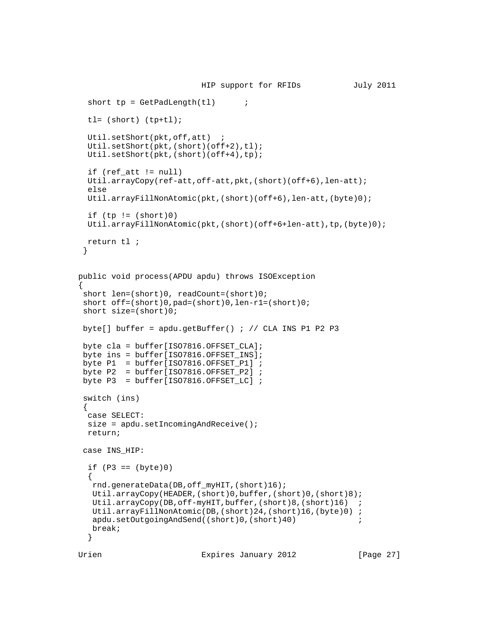```
 HIP support for RFIDs July 2011
    short tp = GetPadLength(t1) ;
     tl= (short) (tp+tl);
     Util.setShort(pkt,off,att) ;
    Util.setShort(pkt,(short)(off+2),tl);
     Util.setShort(pkt,(short)(off+4),tp);
     if (ref_att != null)
     Util.arrayCopy(ref-att,off-att,pkt,(short)(off+6),len-att);
     else
     Util.arrayFillNonAtomic(pkt,(short)(off+6),len-att,(byte)0);
    if (tp := (short)0) Util.arrayFillNonAtomic(pkt,(short)(off+6+len-att),tp,(byte)0);
     return tl ;
     }
   public void process(APDU apdu) throws ISOException
\{ short len=(short)0, readCount=(short)0;
    short off=(short)0,pad=(short)0,len-r1=(short)0;
    short size=(short)0;
   byte[] buffer = apdu.getBuffer() ; // CLA INS P1 P2 P3
   byte cla = buffer[ISO7816.OFFSET CLA];byte ins = buffer[ISO7816.OFFSET_INS];
   byte P1 = buffer[ISO7816.OFFSET_P1] ;
   byte P2 = buffer[ISO7816.OFFSET_P2] ;
   byte P3 = buffer[ISO7816.OFFSET_LC] ;
    switch (ins)
     {
     case SELECT:
    size = apdu.setIncomingAndReceive();
     return;
    case INS_HIP:
    if (P3 == (byte)0)\{ rnd.generateData(DB,off_myHIT,(short)16);
      Util.arrayCopy(HEADER,(short)0,buffer,(short)0,(short)8);
      Util.arrayCopy(DB,off-myHIT,buffer,(short)8,(short)16) ;
      Util.arrayFillNonAtomic(DB,(short)24,(short)16,(byte)0) ;
     apdu.setOutgoingAndSend((short)0,(short)40) ;
      break;
     }
```
Urien **Expires January 2012** [Page 27]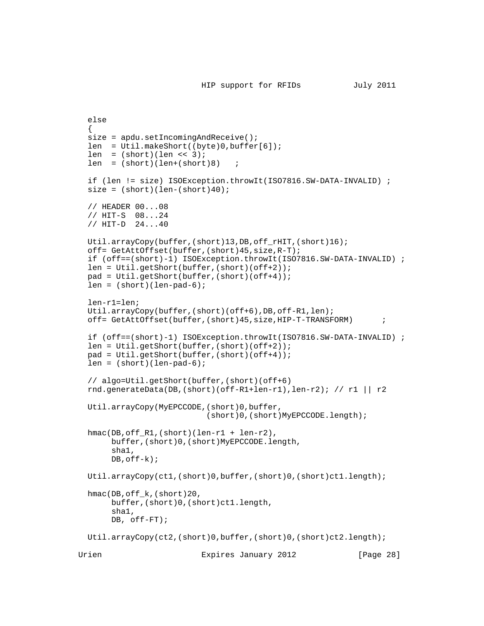```
 else
   {
  size = apdu.setIncomingAndReceive();
   len = Util.makeShort((byte)0,buffer[6]);
  len = (short)(len << 3);len = (short)(len+(short)8) ;
   if (len != size) ISOException.throwIt(ISO7816.SW-DATA-INVALID) ;
  size = (short)(len-(short)40); // HEADER 00...08
   // HIT-S 08...24
   // HIT-D 24...40
   Util.arrayCopy(buffer,(short)13,DB,off_rHIT,(short)16);
   off= GetAttOffset(buffer,(short)45,size,R-T);
   if (off==(short)-1) ISOException.throwIt(ISO7816.SW-DATA-INVALID) ;
   len = Util.getShort(buffer,(short)(off+2));
   pad = Util.getShort(buffer,(short)(off+4));
  len = (short)(len-pad-6); len-r1=len;
   Util.arrayCopy(buffer,(short)(off+6),DB,off-R1,len);
   off= GetAttOffset(buffer,(short)45,size,HIP-T-TRANSFORM) ;
   if (off==(short)-1) ISOException.throwIt(ISO7816.SW-DATA-INVALID) ;
   len = Util.getShort(buffer,(short)(off+2));
   pad = Util.getShort(buffer,(short)(off+4));
  len = (short)(len-pad-6); // algo=Util.getShort(buffer,(short)(off+6)
  rnd.generateData(DB,(short)(off-R1+len-r1),len-r2); // r1 || r2
   Util.arrayCopy(MyEPCCODE,(short)0,buffer,
                            (short)0,(short)MyEPCCODE.length);
   hmac(DB,off_R1,(short)(len-r1 + len-r2),
        buffer,(short)0,(short)MyEPCCODE.length,
        sha1,
       DB, of f-k);
   Util.arrayCopy(ct1,(short)0,buffer,(short)0,(short)ct1.length);
   hmac(DB,off_k,(short)20,
        buffer,(short)0,(short)ct1.length,
        sha1,
       DB, off-FT);
   Util.arrayCopy(ct2,(short)0,buffer,(short)0,(short)ct2.length);
Urien Expires January 2012 [Page 28]
```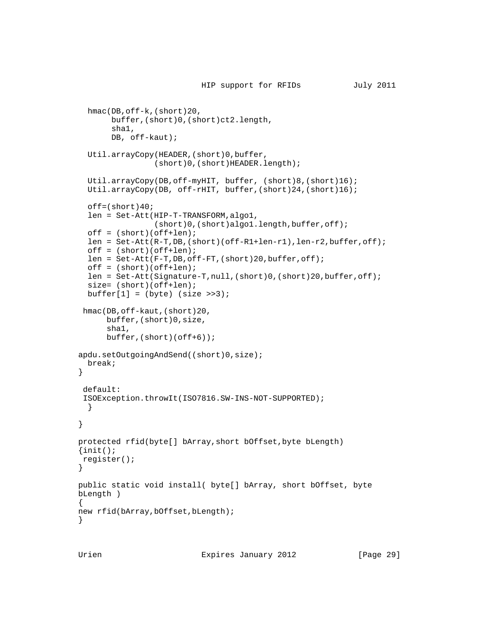```
 HIP support for RFIDs July 2011
   hmac(DB,off-k,(short)20,
        buffer,(short)0,(short)ct2.length,
        sha1,
        DB, off-kaut);
   Util.arrayCopy(HEADER,(short)0,buffer,
                  (short)0,(short)HEADER.length);
   Util.arrayCopy(DB,off-myHIT, buffer, (short)8,(short)16);
   Util.arrayCopy(DB, off-rHIT, buffer,(short)24,(short)16);
  off=(short)40; len = Set-Att(HIP-T-TRANSFORM,algo1,
                 (short)0,(short)algo1.length,buffer,off);
   off = (short)(off+len);
   len = Set-Att(R-T,DB,(short)(off-R1+len-r1),len-r2,buffer,off);
  off = (short)(off+len); len = Set-Att(F-T,DB,off-FT,(short)20,buffer,off);
   off = (short)(off+len);
   len = Set-Att(Signature-T,null,(short)0,(short)20,buffer,off);
  size= (short)(off+len);
  buffer[1] = (byte) (size >>3); hmac(DB,off-kaut,(short)20,
       buffer,(short)0,size,
       sha1,
       buffer,(short)(off+6));
apdu.setOutgoingAndSend((short)0,size);
  break;
 }
  default:
  ISOException.throwIt(ISO7816.SW-INS-NOT-SUPPORTED);
  }
 }
 protected rfid(byte[] bArray,short bOffset,byte bLength)
\{init(); register();
 }
 public static void install( byte[] bArray, short bOffset, byte
 bLength )
 {
new rfid(bArray, bOffset, bLength);
 }
```
Urien **Expires January 2012** [Page 29]